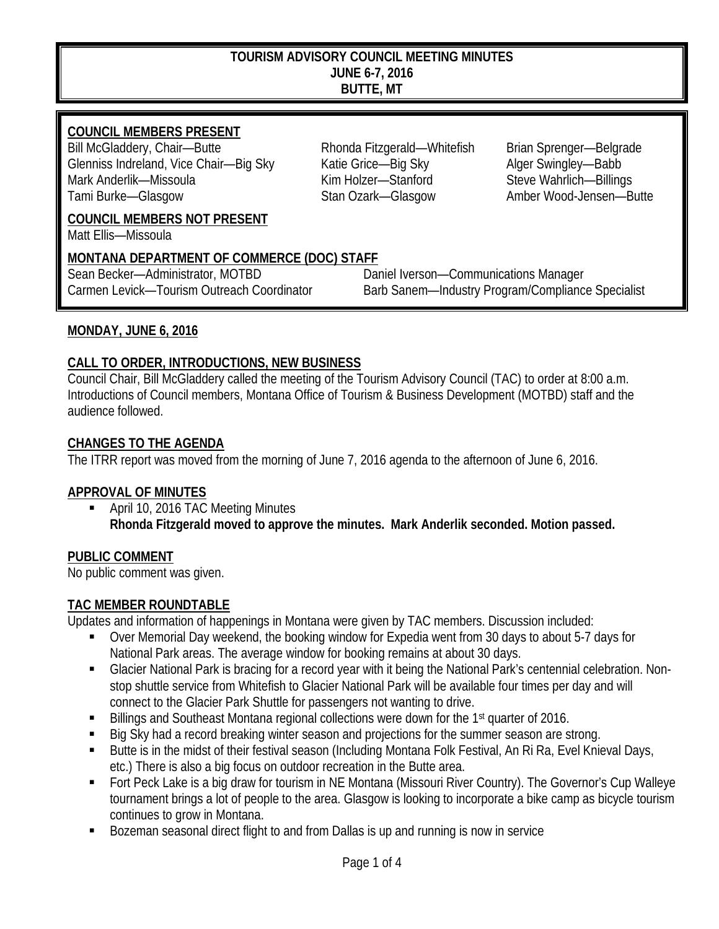#### **TOURISM ADVISORY COUNCIL MEETING MINUTES JUNE 6-7, 2016 BUTTE, MT**

## **COUNCIL MEMBERS PRESENT**

Bill McGladdery, Chair—Butte **Rhonda Fitzgerald—Whitefish** Brian Sprenger—Belgrade Glenniss Indreland, Vice Chair—Big Sky Katie Grice—Big Sky Alger Swingley—Babb Mark Anderlik—Missoula **Kim Holzer—Stanford** Steve Wahrlich—Billings Tami Burke—Glasgow Stan Ozark—Glasgow Amber Wood-Jensen—Butte

#### **COUNCIL MEMBERS NOT PRESENT**

Matt Ellis—Missoula

### **MONTANA DEPARTMENT OF COMMERCE (DOC) STAFF**

Sean Becker—Administrator, MOTBD Daniel Iverson—Communications Manager Carmen Levick—Tourism Outreach Coordinator Barb Sanem—Industry Program/Compliance Specialist

### **MONDAY, JUNE 6, 2016**

### **CALL TO ORDER, INTRODUCTIONS, NEW BUSINESS**

Council Chair, Bill McGladdery called the meeting of the Tourism Advisory Council (TAC) to order at 8:00 a.m. Introductions of Council members, Montana Office of Tourism & Business Development (MOTBD) staff and the audience followed.

#### **CHANGES TO THE AGENDA**

The ITRR report was moved from the morning of June 7, 2016 agenda to the afternoon of June 6, 2016.

### **APPROVAL OF MINUTES**

 April 10, 2016 TAC Meeting Minutes **Rhonda Fitzgerald moved to approve the minutes. Mark Anderlik seconded. Motion passed.**

### **PUBLIC COMMENT**

No public comment was given.

#### **TAC MEMBER ROUNDTABLE**

Updates and information of happenings in Montana were given by TAC members. Discussion included:

- Over Memorial Day weekend, the booking window for Expedia went from 30 days to about 5-7 days for National Park areas. The average window for booking remains at about 30 days.
- Glacier National Park is bracing for a record year with it being the National Park's centennial celebration. Nonstop shuttle service from Whitefish to Glacier National Park will be available four times per day and will connect to the Glacier Park Shuttle for passengers not wanting to drive.
- Billings and Southeast Montana regional collections were down for the 1<sup>st</sup> quarter of 2016.
- Big Sky had a record breaking winter season and projections for the summer season are strong.
- Butte is in the midst of their festival season (Including Montana Folk Festival, An Ri Ra, Evel Knieval Days, etc.) There is also a big focus on outdoor recreation in the Butte area.
- Fort Peck Lake is a big draw for tourism in NE Montana (Missouri River Country). The Governor's Cup Walleye tournament brings a lot of people to the area. Glasgow is looking to incorporate a bike camp as bicycle tourism continues to grow in Montana.
- Bozeman seasonal direct flight to and from Dallas is up and running is now in service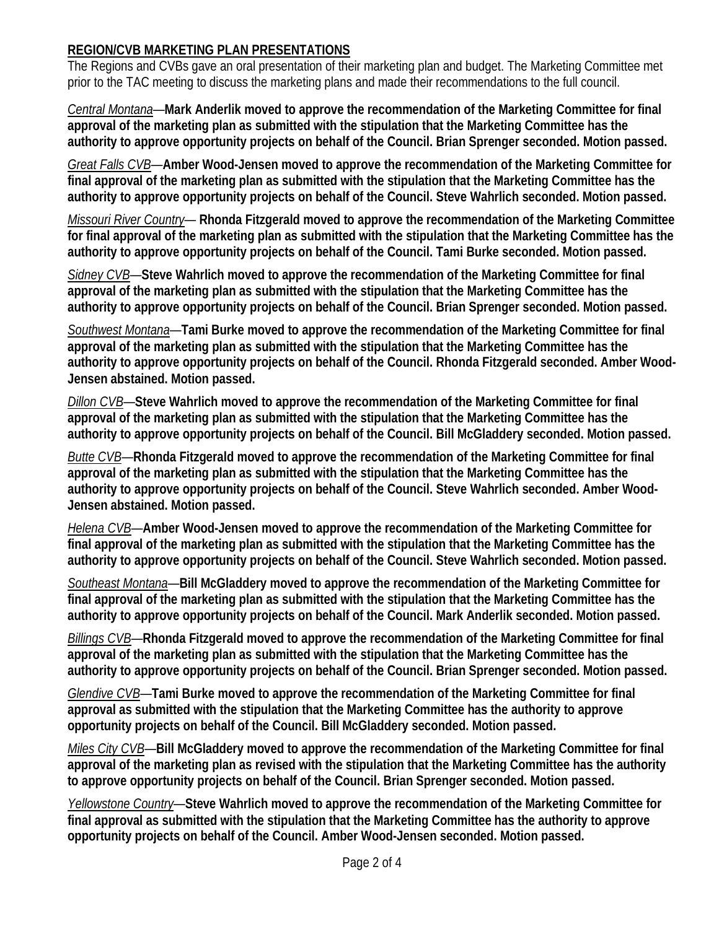## **REGION/CVB MARKETING PLAN PRESENTATIONS**

The Regions and CVBs gave an oral presentation of their marketing plan and budget. The Marketing Committee met prior to the TAC meeting to discuss the marketing plans and made their recommendations to the full council.

*Central Montana*—**Mark Anderlik moved to approve the recommendation of the Marketing Committee for final approval of the marketing plan as submitted with the stipulation that the Marketing Committee has the authority to approve opportunity projects on behalf of the Council. Brian Sprenger seconded. Motion passed.**

*Great Falls CVB*—**Amber Wood-Jensen moved to approve the recommendation of the Marketing Committee for final approval of the marketing plan as submitted with the stipulation that the Marketing Committee has the authority to approve opportunity projects on behalf of the Council. Steve Wahrlich seconded. Motion passed.**

*Missouri River Country*— **Rhonda Fitzgerald moved to approve the recommendation of the Marketing Committee for final approval of the marketing plan as submitted with the stipulation that the Marketing Committee has the authority to approve opportunity projects on behalf of the Council. Tami Burke seconded. Motion passed.**

*Sidney CVB*—**Steve Wahrlich moved to approve the recommendation of the Marketing Committee for final approval of the marketing plan as submitted with the stipulation that the Marketing Committee has the authority to approve opportunity projects on behalf of the Council. Brian Sprenger seconded. Motion passed.**

*Southwest Montana*—**Tami Burke moved to approve the recommendation of the Marketing Committee for final approval of the marketing plan as submitted with the stipulation that the Marketing Committee has the authority to approve opportunity projects on behalf of the Council. Rhonda Fitzgerald seconded. Amber Wood-Jensen abstained. Motion passed.**

*Dillon CVB*—**Steve Wahrlich moved to approve the recommendation of the Marketing Committee for final approval of the marketing plan as submitted with the stipulation that the Marketing Committee has the authority to approve opportunity projects on behalf of the Council. Bill McGladdery seconded. Motion passed.**

*Butte CVB*—**Rhonda Fitzgerald moved to approve the recommendation of the Marketing Committee for final approval of the marketing plan as submitted with the stipulation that the Marketing Committee has the authority to approve opportunity projects on behalf of the Council. Steve Wahrlich seconded. Amber Wood-Jensen abstained. Motion passed.**

*Helena CVB*—**Amber Wood-Jensen moved to approve the recommendation of the Marketing Committee for final approval of the marketing plan as submitted with the stipulation that the Marketing Committee has the authority to approve opportunity projects on behalf of the Council. Steve Wahrlich seconded. Motion passed.**

*Southeast Montana*—**Bill McGladdery moved to approve the recommendation of the Marketing Committee for final approval of the marketing plan as submitted with the stipulation that the Marketing Committee has the authority to approve opportunity projects on behalf of the Council. Mark Anderlik seconded. Motion passed.**

*Billings CVB*—**Rhonda Fitzgerald moved to approve the recommendation of the Marketing Committee for final approval of the marketing plan as submitted with the stipulation that the Marketing Committee has the authority to approve opportunity projects on behalf of the Council. Brian Sprenger seconded. Motion passed.**

*Glendive CVB*—**Tami Burke moved to approve the recommendation of the Marketing Committee for final approval as submitted with the stipulation that the Marketing Committee has the authority to approve opportunity projects on behalf of the Council. Bill McGladdery seconded. Motion passed.**

*Miles City CVB*—**Bill McGladdery moved to approve the recommendation of the Marketing Committee for final approval of the marketing plan as revised with the stipulation that the Marketing Committee has the authority to approve opportunity projects on behalf of the Council. Brian Sprenger seconded. Motion passed.**

*Yellowstone Country*—**Steve Wahrlich moved to approve the recommendation of the Marketing Committee for final approval as submitted with the stipulation that the Marketing Committee has the authority to approve opportunity projects on behalf of the Council. Amber Wood-Jensen seconded. Motion passed.**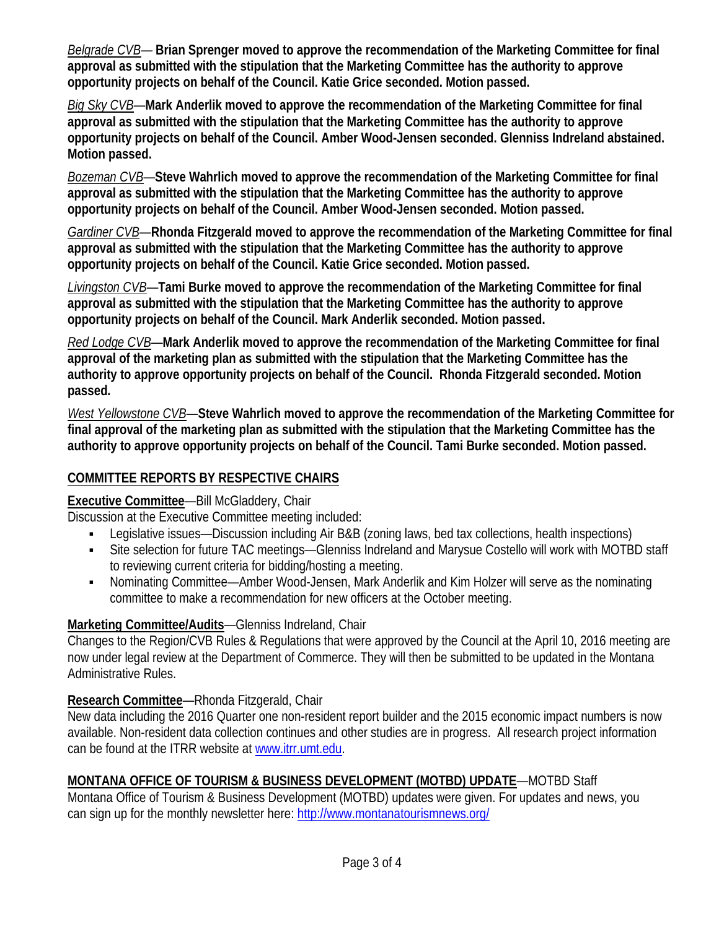*Belgrade CVB*— **Brian Sprenger moved to approve the recommendation of the Marketing Committee for final approval as submitted with the stipulation that the Marketing Committee has the authority to approve opportunity projects on behalf of the Council. Katie Grice seconded. Motion passed.**

*Big Sky CVB*—**Mark Anderlik moved to approve the recommendation of the Marketing Committee for final approval as submitted with the stipulation that the Marketing Committee has the authority to approve opportunity projects on behalf of the Council. Amber Wood-Jensen seconded. Glenniss Indreland abstained. Motion passed.**

*Bozeman CVB*—**Steve Wahrlich moved to approve the recommendation of the Marketing Committee for final approval as submitted with the stipulation that the Marketing Committee has the authority to approve opportunity projects on behalf of the Council. Amber Wood-Jensen seconded. Motion passed.**

*Gardiner CVB*—**Rhonda Fitzgerald moved to approve the recommendation of the Marketing Committee for final approval as submitted with the stipulation that the Marketing Committee has the authority to approve opportunity projects on behalf of the Council. Katie Grice seconded. Motion passed.**

*Livingston CVB*—**Tami Burke moved to approve the recommendation of the Marketing Committee for final approval as submitted with the stipulation that the Marketing Committee has the authority to approve opportunity projects on behalf of the Council. Mark Anderlik seconded. Motion passed.**

*Red Lodge CVB*—**Mark Anderlik moved to approve the recommendation of the Marketing Committee for final approval of the marketing plan as submitted with the stipulation that the Marketing Committee has the authority to approve opportunity projects on behalf of the Council. Rhonda Fitzgerald seconded. Motion passed.**

*West Yellowstone CVB*—**Steve Wahrlich moved to approve the recommendation of the Marketing Committee for final approval of the marketing plan as submitted with the stipulation that the Marketing Committee has the authority to approve opportunity projects on behalf of the Council. Tami Burke seconded. Motion passed.**

# **COMMITTEE REPORTS BY RESPECTIVE CHAIRS**

# **Executive Committee**—Bill McGladdery, Chair

Discussion at the Executive Committee meeting included:

- Legislative issues—Discussion including Air B&B (zoning laws, bed tax collections, health inspections)
- Site selection for future TAC meetings—Glenniss Indreland and Marysue Costello will work with MOTBD staff to reviewing current criteria for bidding/hosting a meeting.
- Nominating Committee—Amber Wood-Jensen, Mark Anderlik and Kim Holzer will serve as the nominating committee to make a recommendation for new officers at the October meeting.

# **Marketing Committee/Audits**—Glenniss Indreland, Chair

Changes to the Region/CVB Rules & Regulations that were approved by the Council at the April 10, 2016 meeting are now under legal review at the Department of Commerce. They will then be submitted to be updated in the Montana Administrative Rules.

# **Research Committee**—Rhonda Fitzgerald, Chair

New data including the 2016 Quarter one non-resident report builder and the 2015 economic impact numbers is now available. Non-resident data collection continues and other studies are in progress. All research project information can be found at the ITRR website at [www.itrr.umt.edu.](http://www.itrr.umt.edu/)

# **MONTANA OFFICE OF TOURISM & BUSINESS DEVELOPMENT (MOTBD) UPDATE**—MOTBD Staff

Montana Office of Tourism & Business Development (MOTBD) updates were given. For updates and news, you can sign up for the monthly newsletter here:<http://www.montanatourismnews.org/>